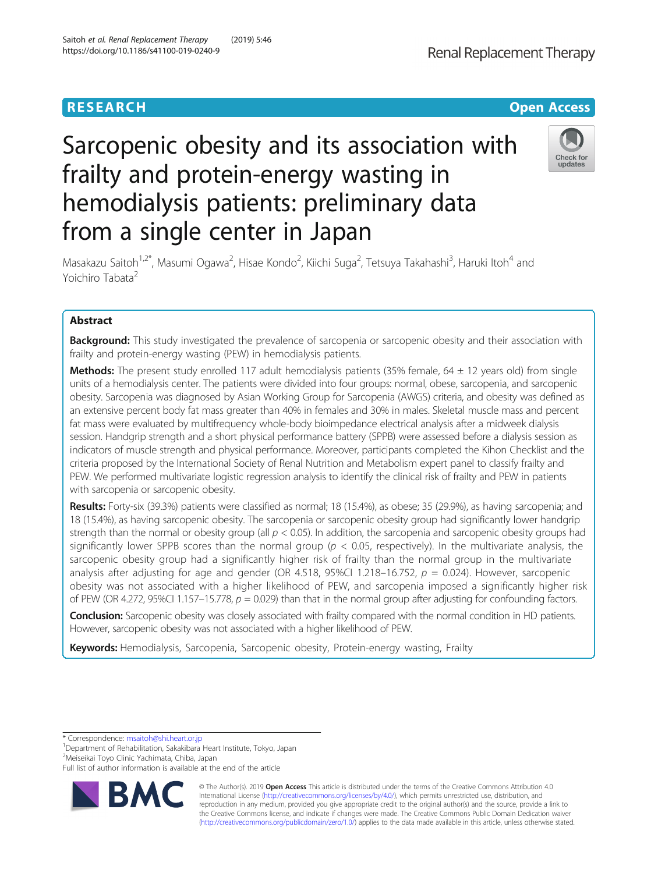# **RESEARCH CHINESE ARCH CHINESE ARCHITECT ARCHITECT ARCHITECT ARCHITECT ARCHITECT ARCHITECT ARCHITECT ARCHITECT ARCHITECT ARCHITECT ARCHITECT ARCHITECT ARCHITECT ARCHITECT ARCHITECT ARCHITECT ARCHITECT ARCHITECT ARCHITE**

# Sarcopenic obesity and its association with frailty and protein-energy wasting in hemodialysis patients: preliminary data from a single center in Japan

Masakazu Saitoh<sup>1,2\*</sup>, Masumi Ogawa<sup>2</sup>, Hisae Kondo<sup>2</sup>, Kiichi Suga<sup>2</sup>, Tetsuya Takahashi<sup>3</sup>, Haruki Itoh<sup>4</sup> and Yoichiro Tabata<sup>2</sup>

# Abstract

**Background:** This study investigated the prevalence of sarcopenia or sarcopenic obesity and their association with frailty and protein-energy wasting (PEW) in hemodialysis patients.

**Methods:** The present study enrolled 117 adult hemodialysis patients (35% female, 64  $\pm$  12 years old) from single units of a hemodialysis center. The patients were divided into four groups: normal, obese, sarcopenia, and sarcopenic obesity. Sarcopenia was diagnosed by Asian Working Group for Sarcopenia (AWGS) criteria, and obesity was defined as an extensive percent body fat mass greater than 40% in females and 30% in males. Skeletal muscle mass and percent fat mass were evaluated by multifrequency whole-body bioimpedance electrical analysis after a midweek dialysis session. Handgrip strength and a short physical performance battery (SPPB) were assessed before a dialysis session as indicators of muscle strength and physical performance. Moreover, participants completed the Kihon Checklist and the criteria proposed by the International Society of Renal Nutrition and Metabolism expert panel to classify frailty and PEW. We performed multivariate logistic regression analysis to identify the clinical risk of frailty and PEW in patients with sarcopenia or sarcopenic obesity.

Results: Forty-six (39.3%) patients were classified as normal; 18 (15.4%), as obese; 35 (29.9%), as having sarcopenia; and 18 (15.4%), as having sarcopenic obesity. The sarcopenia or sarcopenic obesity group had significantly lower handgrip strength than the normal or obesity group (all  $p < 0.05$ ). In addition, the sarcopenia and sarcopenic obesity groups had significantly lower SPPB scores than the normal group ( $p < 0.05$ , respectively). In the multivariate analysis, the sarcopenic obesity group had a significantly higher risk of frailty than the normal group in the multivariate analysis after adjusting for age and gender (OR 4.518, 95%CI 1.218–16.752,  $p = 0.024$ ). However, sarcopenic obesity was not associated with a higher likelihood of PEW, and sarcopenia imposed a significantly higher risk of PEW (OR 4.272, 95%CI 1.157–15.778,  $p = 0.029$ ) than that in the normal group after adjusting for confounding factors.

Conclusion: Sarcopenic obesity was closely associated with frailty compared with the normal condition in HD patients. However, sarcopenic obesity was not associated with a higher likelihood of PEW.

Keywords: Hemodialysis, Sarcopenia, Sarcopenic obesity, Protein-energy wasting, Frailty

\* Correspondence: [msaitoh@shi.heart.or.jp](mailto:msaitoh@shi.heart.or.jp) <sup>1</sup>

<sup>1</sup>Department of Rehabilitation, Sakakibara Heart Institute, Tokyo, Japan

<sup>2</sup>Meiseikai Toyo Clinic Yachimata, Chiba, Japan

© The Author(s). 2019 **Open Access** This article is distributed under the terms of the Creative Commons Attribution 4.0 International License [\(http://creativecommons.org/licenses/by/4.0/](http://creativecommons.org/licenses/by/4.0/)), which permits unrestricted use, distribution, and reproduction in any medium, provided you give appropriate credit to the original author(s) and the source, provide a link to the Creative Commons license, and indicate if changes were made. The Creative Commons Public Domain Dedication waiver [\(http://creativecommons.org/publicdomain/zero/1.0/](http://creativecommons.org/publicdomain/zero/1.0/)) applies to the data made available in this article, unless otherwise stated.





Check for updates

Full list of author information is available at the end of the article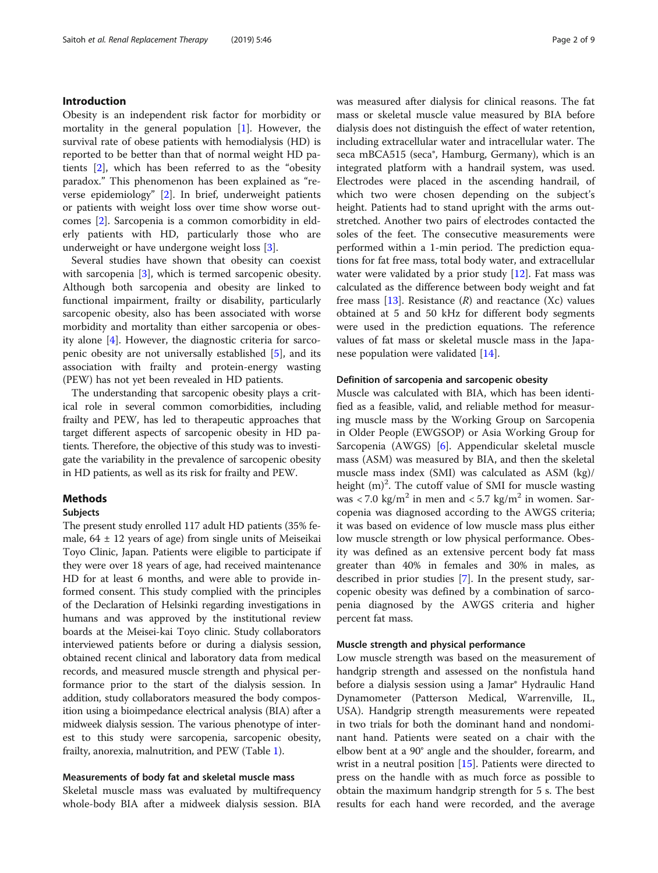# Introduction

Obesity is an independent risk factor for morbidity or mortality in the general population  $[1]$  $[1]$ . However, the survival rate of obese patients with hemodialysis (HD) is reported to be better than that of normal weight HD patients [[2](#page-7-0)], which has been referred to as the "obesity paradox." This phenomenon has been explained as "reverse epidemiology" [\[2](#page-7-0)]. In brief, underweight patients or patients with weight loss over time show worse outcomes [\[2](#page-7-0)]. Sarcopenia is a common comorbidity in elderly patients with HD, particularly those who are underweight or have undergone weight loss [[3\]](#page-7-0).

Several studies have shown that obesity can coexist with sarcopenia [\[3](#page-7-0)], which is termed sarcopenic obesity. Although both sarcopenia and obesity are linked to functional impairment, frailty or disability, particularly sarcopenic obesity, also has been associated with worse morbidity and mortality than either sarcopenia or obesity alone [\[4](#page-7-0)]. However, the diagnostic criteria for sarcopenic obesity are not universally established [\[5\]](#page-8-0), and its association with frailty and protein-energy wasting (PEW) has not yet been revealed in HD patients.

The understanding that sarcopenic obesity plays a critical role in several common comorbidities, including frailty and PEW, has led to therapeutic approaches that target different aspects of sarcopenic obesity in HD patients. Therefore, the objective of this study was to investigate the variability in the prevalence of sarcopenic obesity in HD patients, as well as its risk for frailty and PEW.

# **Methods**

### Subjects

The present study enrolled 117 adult HD patients (35% female,  $64 \pm 12$  years of age) from single units of Meiseikai Toyo Clinic, Japan. Patients were eligible to participate if they were over 18 years of age, had received maintenance HD for at least 6 months, and were able to provide informed consent. This study complied with the principles of the Declaration of Helsinki regarding investigations in humans and was approved by the institutional review boards at the Meisei-kai Toyo clinic. Study collaborators interviewed patients before or during a dialysis session, obtained recent clinical and laboratory data from medical records, and measured muscle strength and physical performance prior to the start of the dialysis session. In addition, study collaborators measured the body composition using a bioimpedance electrical analysis (BIA) after a midweek dialysis session. The various phenotype of interest to this study were sarcopenia, sarcopenic obesity, frailty, anorexia, malnutrition, and PEW (Table [1](#page-2-0)).

# Measurements of body fat and skeletal muscle mass

Skeletal muscle mass was evaluated by multifrequency whole-body BIA after a midweek dialysis session. BIA was measured after dialysis for clinical reasons. The fat mass or skeletal muscle value measured by BIA before dialysis does not distinguish the effect of water retention, including extracellular water and intracellular water. The seca mBCA515 (seca®, Hamburg, Germany), which is an integrated platform with a handrail system, was used. Electrodes were placed in the ascending handrail, of which two were chosen depending on the subject's height. Patients had to stand upright with the arms outstretched. Another two pairs of electrodes contacted the soles of the feet. The consecutive measurements were performed within a 1-min period. The prediction equations for fat free mass, total body water, and extracellular water were validated by a prior study [[12](#page-8-0)]. Fat mass was calculated as the difference between body weight and fat free mass  $[13]$  $[13]$ . Resistance  $(R)$  and reactance  $(Xc)$  values obtained at 5 and 50 kHz for different body segments were used in the prediction equations. The reference values of fat mass or skeletal muscle mass in the Japanese population were validated [\[14](#page-8-0)].

### Definition of sarcopenia and sarcopenic obesity

Muscle was calculated with BIA, which has been identified as a feasible, valid, and reliable method for measuring muscle mass by the Working Group on Sarcopenia in Older People (EWGSOP) or Asia Working Group for Sarcopenia (AWGS) [\[6](#page-8-0)]. Appendicular skeletal muscle mass (ASM) was measured by BIA, and then the skeletal muscle mass index (SMI) was calculated as ASM (kg)/ height  $(m)^2$ . The cutoff value of SMI for muscle wasting was  $\langle 7.0 \text{ kg/m}^2 \rangle$  in men and  $\langle 5.7 \text{ kg/m}^2 \rangle$  in women. Sarcopenia was diagnosed according to the AWGS criteria; it was based on evidence of low muscle mass plus either low muscle strength or low physical performance. Obesity was defined as an extensive percent body fat mass greater than 40% in females and 30% in males, as described in prior studies [\[7](#page-8-0)]. In the present study, sarcopenic obesity was defined by a combination of sarcopenia diagnosed by the AWGS criteria and higher percent fat mass.

# Muscle strength and physical performance

Low muscle strength was based on the measurement of handgrip strength and assessed on the nonfistula hand before a dialysis session using a Jamar® Hydraulic Hand Dynamometer (Patterson Medical, Warrenville, IL, USA). Handgrip strength measurements were repeated in two trials for both the dominant hand and nondominant hand. Patients were seated on a chair with the elbow bent at a 90° angle and the shoulder, forearm, and wrist in a neutral position [[15\]](#page-8-0). Patients were directed to press on the handle with as much force as possible to obtain the maximum handgrip strength for 5 s. The best results for each hand were recorded, and the average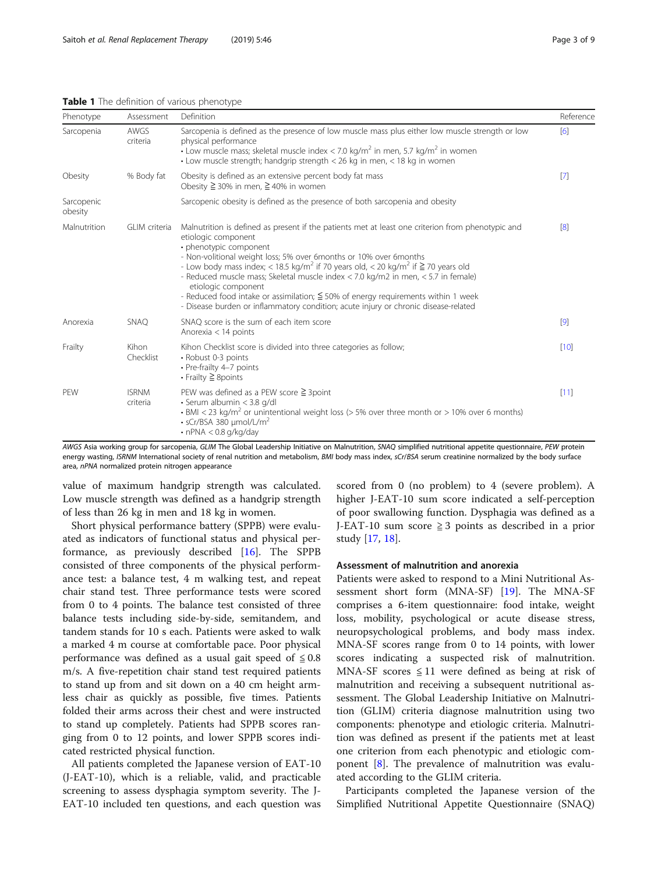| Page 3 o |  |
|----------|--|
|          |  |

<span id="page-2-0"></span>

| Phenotype             | Assessment               | Definition                                                                                                                                                                                                                                                                                                                                                                                                                                                                                                                                                                                                                             | Reference         |
|-----------------------|--------------------------|----------------------------------------------------------------------------------------------------------------------------------------------------------------------------------------------------------------------------------------------------------------------------------------------------------------------------------------------------------------------------------------------------------------------------------------------------------------------------------------------------------------------------------------------------------------------------------------------------------------------------------------|-------------------|
| Sarcopenia            | AWGS<br>criteria         | Sarcopenia is defined as the presence of low muscle mass plus either low muscle strength or low<br>physical performance<br>• Low muscle mass; skeletal muscle index < 7.0 kg/m <sup>2</sup> in men, 5.7 kg/m <sup>2</sup> in women<br>• Low muscle strength; handgrip strength $<$ 26 kg in men, $<$ 18 kg in women                                                                                                                                                                                                                                                                                                                    |                   |
| Obesity               | % Body fat               | Obesity is defined as an extensive percent body fat mass<br>Obesity $\geq$ 30% in men, $\geq$ 40% in women                                                                                                                                                                                                                                                                                                                                                                                                                                                                                                                             | $[7]$             |
| Sarcopenic<br>obesity |                          | Sarcopenic obesity is defined as the presence of both sarcopenia and obesity                                                                                                                                                                                                                                                                                                                                                                                                                                                                                                                                                           |                   |
| Malnutrition          | GLIM criteria            | Malnutrition is defined as present if the patients met at least one criterion from phenotypic and<br>etiologic component<br>• phenotypic component<br>- Non-volitional weight loss; 5% over 6months or 10% over 6months<br>- Low body mass index; < 18.5 kg/m <sup>2</sup> if 70 years old, < 20 kg/m <sup>2</sup> if $\geq$ 70 years old<br>- Reduced muscle mass; Skeletal muscle index < 7.0 kg/m2 in men, < 5.7 in female)<br>etiologic component<br>- Reduced food intake or assimilation; $\leq$ 50% of energy requirements within 1 week<br>- Disease burden or inflammatory condition; acute injury or chronic disease-related | [8]               |
| Anorexia              | <b>SNAQ</b>              | SNAQ score is the sum of each item score<br>Anorexia $<$ 14 points                                                                                                                                                                                                                                                                                                                                                                                                                                                                                                                                                                     | $\lceil 9 \rceil$ |
| Frailty               | Kihon<br>Checklist       | Kihon Checklist score is divided into three categories as follow;<br>• Robust 0-3 points<br>• Pre-frailty 4-7 points<br>$\cdot$ Frailty $\geq$ 8 points                                                                                                                                                                                                                                                                                                                                                                                                                                                                                | [10]              |
| PEW                   | <b>ISRNM</b><br>criteria | PEW was defined as a PEW score $\geq$ 3 point<br>· Serum albumin < 3.8 g/dl<br>• BMI < 23 kg/m <sup>2</sup> or unintentional weight loss (> 5% over three month or > 10% over 6 months)<br>$\cdot$ sCr/BSA 380 µmol/L/m <sup>2</sup><br>$\cdot$ nPNA < 0.8 g/kg/day                                                                                                                                                                                                                                                                                                                                                                    | [11]              |

AWGS Asia working group for sarcopenia, GLIM The Global Leadership Initiative on Malnutrition, SNAQ simplified nutritional appetite questionnaire, PEW protein energy wasting, ISRNM International society of renal nutrition and metabolism, BMI body mass index, sCr/BSA serum creatinine normalized by the body surface area, nPNA normalized protein nitrogen appearance

value of maximum handgrip strength was calculated. Low muscle strength was defined as a handgrip strength of less than 26 kg in men and 18 kg in women.

Short physical performance battery (SPPB) were evaluated as indicators of functional status and physical performance, as previously described [\[16\]](#page-8-0). The SPPB consisted of three components of the physical performance test: a balance test, 4 m walking test, and repeat chair stand test. Three performance tests were scored from 0 to 4 points. The balance test consisted of three balance tests including side-by-side, semitandem, and tandem stands for 10 s each. Patients were asked to walk a marked 4 m course at comfortable pace. Poor physical performance was defined as a usual gait speed of  $\leq 0.8$ m/s. A five-repetition chair stand test required patients to stand up from and sit down on a 40 cm height armless chair as quickly as possible, five times. Patients folded their arms across their chest and were instructed to stand up completely. Patients had SPPB scores ranging from 0 to 12 points, and lower SPPB scores indicated restricted physical function.

All patients completed the Japanese version of EAT-10 (J-EAT-10), which is a reliable, valid, and practicable screening to assess dysphagia symptom severity. The J-EAT-10 included ten questions, and each question was

scored from 0 (no problem) to 4 (severe problem). A higher J-EAT-10 sum score indicated a self-perception of poor swallowing function. Dysphagia was defined as a J-EAT-10 sum score  $\geq$  3 points as described in a prior study [[17,](#page-8-0) [18](#page-8-0)].

# Assessment of malnutrition and anorexia

Patients were asked to respond to a Mini Nutritional Assessment short form (MNA-SF) [\[19](#page-8-0)]. The MNA-SF comprises a 6-item questionnaire: food intake, weight loss, mobility, psychological or acute disease stress, neuropsychological problems, and body mass index. MNA-SF scores range from 0 to 14 points, with lower scores indicating a suspected risk of malnutrition. MNA-SF scores  $\leq 11$  were defined as being at risk of malnutrition and receiving a subsequent nutritional assessment. The Global Leadership Initiative on Malnutrition (GLIM) criteria diagnose malnutrition using two components: phenotype and etiologic criteria. Malnutrition was defined as present if the patients met at least one criterion from each phenotypic and etiologic component [\[8](#page-8-0)]. The prevalence of malnutrition was evaluated according to the GLIM criteria.

Participants completed the Japanese version of the Simplified Nutritional Appetite Questionnaire (SNAQ)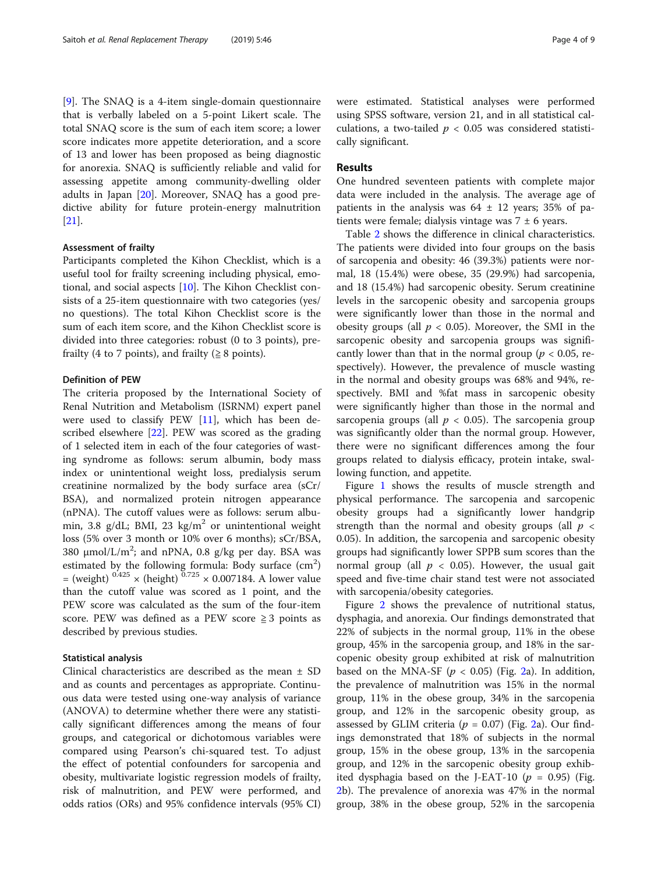[[9\]](#page-8-0). The SNAQ is a 4-item single-domain questionnaire that is verbally labeled on a 5-point Likert scale. The total SNAQ score is the sum of each item score; a lower score indicates more appetite deterioration, and a score of 13 and lower has been proposed as being diagnostic for anorexia. SNAQ is sufficiently reliable and valid for assessing appetite among community-dwelling older adults in Japan [[20\]](#page-8-0). Moreover, SNAQ has a good predictive ability for future protein-energy malnutrition [[21\]](#page-8-0).

## Assessment of frailty

Participants completed the Kihon Checklist, which is a useful tool for frailty screening including physical, emotional, and social aspects [\[10\]](#page-8-0). The Kihon Checklist consists of a 25-item questionnaire with two categories (yes/ no questions). The total Kihon Checklist score is the sum of each item score, and the Kihon Checklist score is divided into three categories: robust (0 to 3 points), prefrailty (4 to 7 points), and frailty ( $\geq 8$  points).

#### Definition of PEW

The criteria proposed by the International Society of Renal Nutrition and Metabolism (ISRNM) expert panel were used to classify PEW [\[11\]](#page-8-0), which has been described elsewhere [[22\]](#page-8-0). PEW was scored as the grading of 1 selected item in each of the four categories of wasting syndrome as follows: serum albumin, body mass index or unintentional weight loss, predialysis serum creatinine normalized by the body surface area (sCr/ BSA), and normalized protein nitrogen appearance (nPNA). The cutoff values were as follows: serum albumin, 3.8 g/dL; BMI, 23 kg/m<sup>2</sup> or unintentional weight loss (5% over 3 month or 10% over 6 months); sCr/BSA, 380  $\mu$ mol/L/m<sup>2</sup>; and nPNA, 0.8 g/kg per day. BSA was estimated by the following formula: Body surface  $(cm<sup>2</sup>)$ = (weight)  $0.425 \times$  (height)  $0.725 \times 0.007184$ . A lower value than the cutoff value was scored as 1 point, and the PEW score was calculated as the sum of the four-item score. PEW was defined as a PEW score  $\geq 3$  points as described by previous studies.

#### Statistical analysis

Clinical characteristics are described as the mean ± SD and as counts and percentages as appropriate. Continuous data were tested using one-way analysis of variance (ANOVA) to determine whether there were any statistically significant differences among the means of four groups, and categorical or dichotomous variables were compared using Pearson's chi-squared test. To adjust the effect of potential confounders for sarcopenia and obesity, multivariate logistic regression models of frailty, risk of malnutrition, and PEW were performed, and odds ratios (ORs) and 95% confidence intervals (95% CI) were estimated. Statistical analyses were performed using SPSS software, version 21, and in all statistical calculations, a two-tailed  $p < 0.05$  was considered statistically significant.

## Results

One hundred seventeen patients with complete major data were included in the analysis. The average age of patients in the analysis was  $64 \pm 12$  years; 35% of patients were female; dialysis vintage was  $7 \pm 6$  years.

Table [2](#page-4-0) shows the difference in clinical characteristics. The patients were divided into four groups on the basis of sarcopenia and obesity: 46 (39.3%) patients were normal, 18 (15.4%) were obese, 35 (29.9%) had sarcopenia, and 18 (15.4%) had sarcopenic obesity. Serum creatinine levels in the sarcopenic obesity and sarcopenia groups were significantly lower than those in the normal and obesity groups (all  $p < 0.05$ ). Moreover, the SMI in the sarcopenic obesity and sarcopenia groups was significantly lower than that in the normal group ( $p < 0.05$ , respectively). However, the prevalence of muscle wasting in the normal and obesity groups was 68% and 94%, respectively. BMI and %fat mass in sarcopenic obesity were significantly higher than those in the normal and sarcopenia groups (all  $p < 0.05$ ). The sarcopenia group was significantly older than the normal group. However, there were no significant differences among the four groups related to dialysis efficacy, protein intake, swallowing function, and appetite.

Figure [1](#page-5-0) shows the results of muscle strength and physical performance. The sarcopenia and sarcopenic obesity groups had a significantly lower handgrip strength than the normal and obesity groups (all  $p \lt \theta$ 0.05). In addition, the sarcopenia and sarcopenic obesity groups had significantly lower SPPB sum scores than the normal group (all  $p < 0.05$ ). However, the usual gait speed and five-time chair stand test were not associated with sarcopenia/obesity categories.

Figure [2](#page-5-0) shows the prevalence of nutritional status, dysphagia, and anorexia. Our findings demonstrated that 22% of subjects in the normal group, 11% in the obese group, 45% in the sarcopenia group, and 18% in the sarcopenic obesity group exhibited at risk of malnutrition based on the MNA-SF ( $p < 0.05$ ) (Fig. [2](#page-5-0)a). In addition, the prevalence of malnutrition was 15% in the normal group, 11% in the obese group, 34% in the sarcopenia group, and 12% in the sarcopenic obesity group, as assessed by GLIM criteria ( $p = 0.07$ ) (Fig. [2a](#page-5-0)). Our findings demonstrated that 18% of subjects in the normal group, 15% in the obese group, 13% in the sarcopenia group, and 12% in the sarcopenic obesity group exhibited dysphagia based on the J-EAT-10 ( $p = 0.95$ ) (Fig. [2b](#page-5-0)). The prevalence of anorexia was 47% in the normal group, 38% in the obese group, 52% in the sarcopenia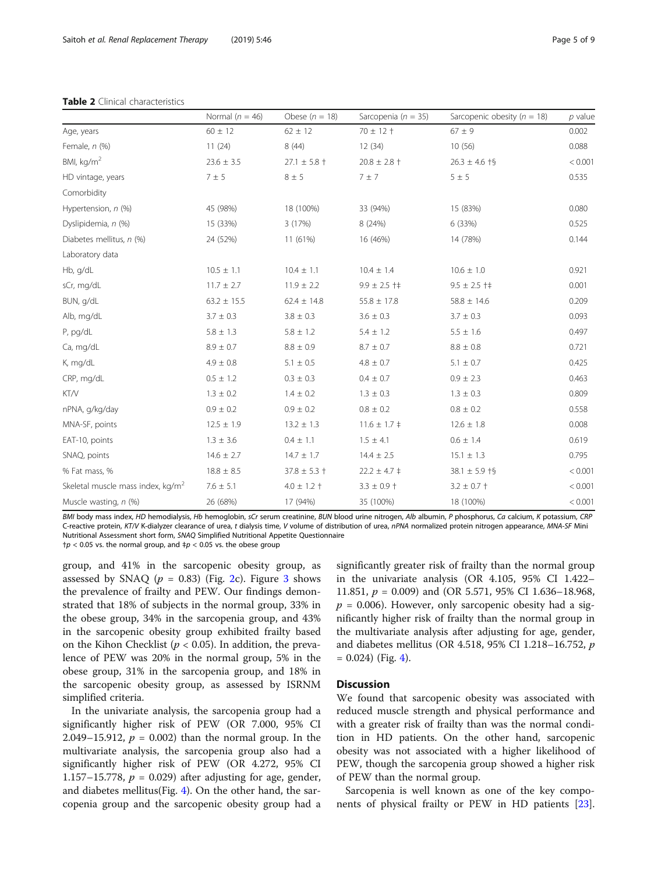### <span id="page-4-0"></span>Table 2 Clinical characteristics

|                                               | Normal ( $n = 46$ ) | Obese $(n = 18)$ | Sarcopenia ( $n = 35$ ) | Sarcopenic obesity ( $n = 18$ ) | $p$ value |
|-----------------------------------------------|---------------------|------------------|-------------------------|---------------------------------|-----------|
| Age, years                                    | $60 \pm 12$         | $62 \pm 12$      | $70 \pm 12 +$           | $67 \pm 9$                      | 0.002     |
| Female, $n$ (%)                               | 11(24)              | 8(44)            | 12(34)                  | 10(56)                          | 0.088     |
| BMI, $kg/m2$                                  | $23.6 \pm 3.5$      | $27.1 \pm 5.8 +$ | $20.8 \pm 2.8 +$        | $26.3 \pm 4.6$ †§               | < 0.001   |
| HD vintage, years                             | 7 ± 5               | $8 \pm 5$        | 7 ± 7                   | $5 \pm 5$                       | 0.535     |
| Comorbidity                                   |                     |                  |                         |                                 |           |
| Hypertension, n (%)                           | 45 (98%)            | 18 (100%)        | 33 (94%)                | 15 (83%)                        | 0.080     |
| Dyslipidemia, n (%)                           | 15 (33%)            | 3(17%)           | 8 (24%)                 | 6 (33%)                         | 0.525     |
| Diabetes mellitus, n (%)                      | 24 (52%)            | 11 (61%)         | 16 (46%)                | 14 (78%)                        | 0.144     |
| Laboratory data                               |                     |                  |                         |                                 |           |
| Hb, g/dL                                      | $10.5 \pm 1.1$      | $10.4 \pm 1.1$   | $10.4 \pm 1.4$          | $10.6 \pm 1.0$                  | 0.921     |
| sCr, mg/dL                                    | $11.7 \pm 2.7$      | $11.9 \pm 2.2$   | $9.9 \pm 2.5$ †‡        | $9.5 \pm 2.5$ †‡                | 0.001     |
| BUN, g/dL                                     | $63.2 \pm 15.5$     | $62.4 \pm 14.8$  | $55.8 \pm 17.8$         | $58.8 \pm 14.6$                 | 0.209     |
| Alb, mg/dL                                    | $3.7 \pm 0.3$       | $3.8 \pm 0.3$    | $3.6 \pm 0.3$           | $3.7 \pm 0.3$                   | 0.093     |
| P, pg/dL                                      | $5.8 \pm 1.3$       | $5.8 \pm 1.2$    | $5.4 \pm 1.2$           | $5.5 \pm 1.6$                   | 0.497     |
| Ca, mg/dL                                     | $8.9 \pm 0.7$       | $8.8 \pm 0.9$    | $8.7 \pm 0.7$           | $8.8 \pm 0.8$                   | 0.721     |
| K, mg/dL                                      | $4.9 \pm 0.8$       | $5.1 \pm 0.5$    | $4.8 \pm 0.7$           | $5.1 \pm 0.7$                   | 0.425     |
| CRP, mg/dL                                    | $0.5 \pm 1.2$       | $0.3 \pm 0.3$    | $0.4 \pm 0.7$           | $0.9 \pm 2.3$                   | 0.463     |
| KT/V                                          | $1.3 \pm 0.2$       | $1.4 \pm 0.2$    | $1.3 \pm 0.3$           | $1.3 \pm 0.3$                   | 0.809     |
| nPNA, g/kg/day                                | $0.9 \pm 0.2$       | $0.9 \pm 0.2$    | $0.8 \pm 0.2$           | $0.8 \pm 0.2$                   | 0.558     |
| MNA-SF, points                                | $12.5 \pm 1.9$      | $13.2 \pm 1.3$   | $11.6 \pm 1.7 \pm$      | $12.6 \pm 1.8$                  | 0.008     |
| EAT-10, points                                | $1.3 \pm 3.6$       | $0.4 \pm 1.1$    | $1.5 \pm 4.1$           | $0.6 \pm 1.4$                   | 0.619     |
| SNAQ, points                                  | $14.6 \pm 2.7$      | $14.7 \pm 1.7$   | $14.4 \pm 2.5$          | $15.1 \pm 1.3$                  | 0.795     |
| % Fat mass, %                                 | $18.8 \pm 8.5$      | $37.8 \pm 5.3 +$ | $22.2 \pm 4.7 \pm$      | $38.1 \pm 5.9$ †§               | < 0.001   |
| Skeletal muscle mass index, kg/m <sup>2</sup> | $7.6 \pm 5.1$       | $4.0 \pm 1.2 +$  | $3.3 \pm 0.9$ †         | $3.2 \pm 0.7 +$                 | < 0.001   |
| Muscle wasting, n (%)                         | 26 (68%)            | 17 (94%)         | 35 (100%)               | 18 (100%)                       | < 0.001   |

BMI body mass index, HD hemodialysis, Hb hemoglobin, sCr serum creatinine, BUN blood urine nitrogen, Alb albumin, P phosphorus, Ca calcium, K potassium, CRP C-reactive protein, KT/V K-dialyzer clearance of urea, t dialysis time, V volume of distribution of urea, nPNA normalized protein nitrogen appearance, MNA-SF Mini Nutritional Assessment short form, SNAQ Simplified Nutritional Appetite Questionnaire  $\uparrow p$  < 0.05 vs. the normal group, and  $\uparrow p$  < 0.05 vs. the obese group

group, and 41% in the sarcopenic obesity group, as assessed by SNAQ ( $p = 0.83$  $p = 0.83$ ) (Fig. [2c](#page-5-0)). Figure 3 shows the prevalence of frailty and PEW. Our findings demonstrated that 18% of subjects in the normal group, 33% in the obese group, 34% in the sarcopenia group, and 43% in the sarcopenic obesity group exhibited frailty based on the Kihon Checklist ( $p < 0.05$ ). In addition, the prevalence of PEW was 20% in the normal group, 5% in the obese group, 31% in the sarcopenia group, and 18% in the sarcopenic obesity group, as assessed by ISRNM simplified criteria.

In the univariate analysis, the sarcopenia group had a significantly higher risk of PEW (OR 7.000, 95% CI 2.049–15.912,  $p = 0.002$ ) than the normal group. In the multivariate analysis, the sarcopenia group also had a significantly higher risk of PEW (OR 4.272, 95% CI 1.157–15.778,  $p = 0.029$ ) after adjusting for age, gender, and diabetes mellitus(Fig. [4\)](#page-6-0). On the other hand, the sarcopenia group and the sarcopenic obesity group had a

significantly greater risk of frailty than the normal group in the univariate analysis (OR 4.105, 95% CI 1.422– 11.851,  $p = 0.009$ ) and (OR 5.571, 95% CI 1.636-18.968,  $p = 0.006$ ). However, only sarcopenic obesity had a significantly higher risk of frailty than the normal group in the multivariate analysis after adjusting for age, gender, and diabetes mellitus (OR 4.518, 95% CI 1.218–16.752, p  $= 0.024$ ) (Fig. [4\)](#page-6-0).

# **Discussion**

We found that sarcopenic obesity was associated with reduced muscle strength and physical performance and with a greater risk of frailty than was the normal condition in HD patients. On the other hand, sarcopenic obesity was not associated with a higher likelihood of PEW, though the sarcopenia group showed a higher risk of PEW than the normal group.

Sarcopenia is well known as one of the key components of physical frailty or PEW in HD patients [\[23](#page-8-0)].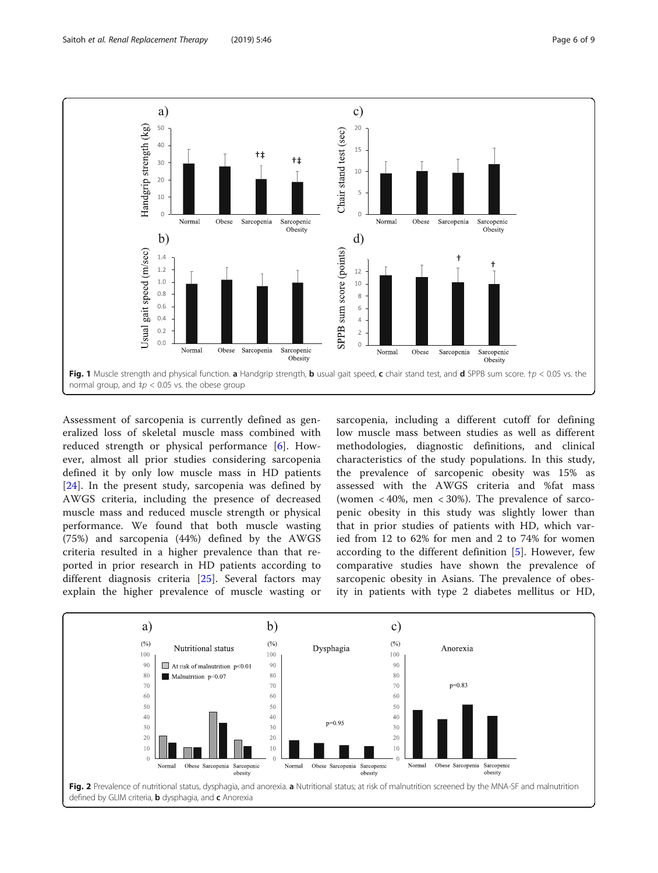<span id="page-5-0"></span>

Assessment of sarcopenia is currently defined as generalized loss of skeletal muscle mass combined with reduced strength or physical performance [[6\]](#page-8-0). However, almost all prior studies considering sarcopenia defined it by only low muscle mass in HD patients [[24\]](#page-8-0). In the present study, sarcopenia was defined by AWGS criteria, including the presence of decreased muscle mass and reduced muscle strength or physical performance. We found that both muscle wasting (75%) and sarcopenia (44%) defined by the AWGS criteria resulted in a higher prevalence than that reported in prior research in HD patients according to different diagnosis criteria [[25\]](#page-8-0). Several factors may explain the higher prevalence of muscle wasting or sarcopenia, including a different cutoff for defining low muscle mass between studies as well as different methodologies, diagnostic definitions, and clinical characteristics of the study populations. In this study, the prevalence of sarcopenic obesity was 15% as assessed with the AWGS criteria and %fat mass (women  $<40\%$ , men  $<30\%$ ). The prevalence of sarcopenic obesity in this study was slightly lower than that in prior studies of patients with HD, which varied from 12 to 62% for men and 2 to 74% for women according to the different definition [\[5](#page-8-0)]. However, few comparative studies have shown the prevalence of sarcopenic obesity in Asians. The prevalence of obesity in patients with type 2 diabetes mellitus or HD,

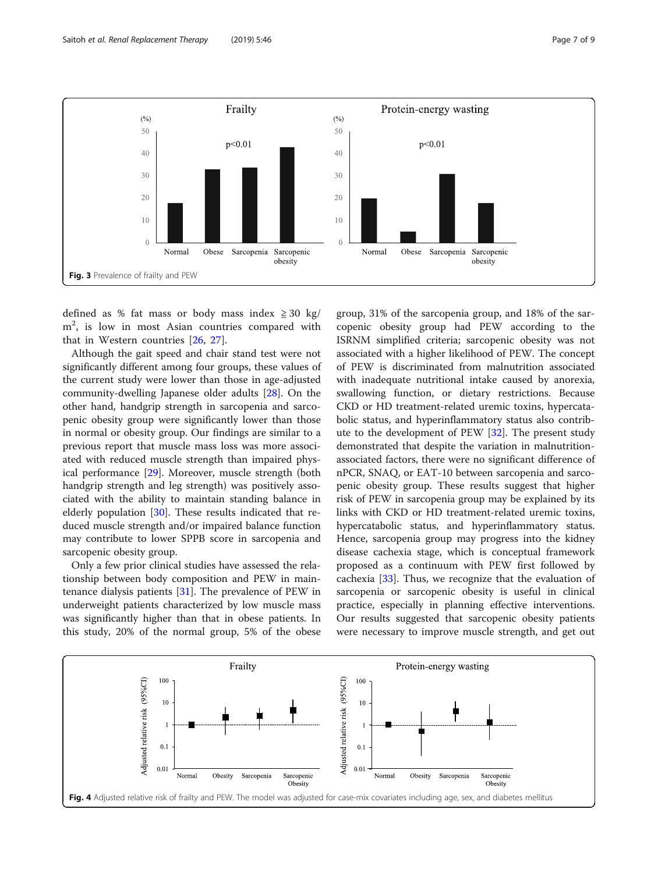<span id="page-6-0"></span>

defined as % fat mass or body mass index  $\geq 30$  kg/ m<sup>2</sup>, is low in most Asian countries compared with that in Western countries [\[26](#page-8-0), [27](#page-8-0)].

Although the gait speed and chair stand test were not significantly different among four groups, these values of the current study were lower than those in age-adjusted community-dwelling Japanese older adults [\[28](#page-8-0)]. On the other hand, handgrip strength in sarcopenia and sarcopenic obesity group were significantly lower than those in normal or obesity group. Our findings are similar to a previous report that muscle mass loss was more associated with reduced muscle strength than impaired physical performance [\[29](#page-8-0)]. Moreover, muscle strength (both handgrip strength and leg strength) was positively associated with the ability to maintain standing balance in elderly population [\[30\]](#page-8-0). These results indicated that reduced muscle strength and/or impaired balance function may contribute to lower SPPB score in sarcopenia and sarcopenic obesity group.

Only a few prior clinical studies have assessed the relationship between body composition and PEW in maintenance dialysis patients [[31](#page-8-0)]. The prevalence of PEW in underweight patients characterized by low muscle mass was significantly higher than that in obese patients. In this study, 20% of the normal group, 5% of the obese

group, 31% of the sarcopenia group, and 18% of the sarcopenic obesity group had PEW according to the ISRNM simplified criteria; sarcopenic obesity was not associated with a higher likelihood of PEW. The concept of PEW is discriminated from malnutrition associated with inadequate nutritional intake caused by anorexia, swallowing function, or dietary restrictions. Because CKD or HD treatment-related uremic toxins, hypercatabolic status, and hyperinflammatory status also contribute to the development of PEW [[32](#page-8-0)]. The present study demonstrated that despite the variation in malnutritionassociated factors, there were no significant difference of nPCR, SNAQ, or EAT-10 between sarcopenia and sarcopenic obesity group. These results suggest that higher risk of PEW in sarcopenia group may be explained by its links with CKD or HD treatment-related uremic toxins, hypercatabolic status, and hyperinflammatory status. Hence, sarcopenia group may progress into the kidney disease cachexia stage, which is conceptual framework proposed as a continuum with PEW first followed by cachexia [\[33\]](#page-8-0). Thus, we recognize that the evaluation of sarcopenia or sarcopenic obesity is useful in clinical practice, especially in planning effective interventions. Our results suggested that sarcopenic obesity patients were necessary to improve muscle strength, and get out

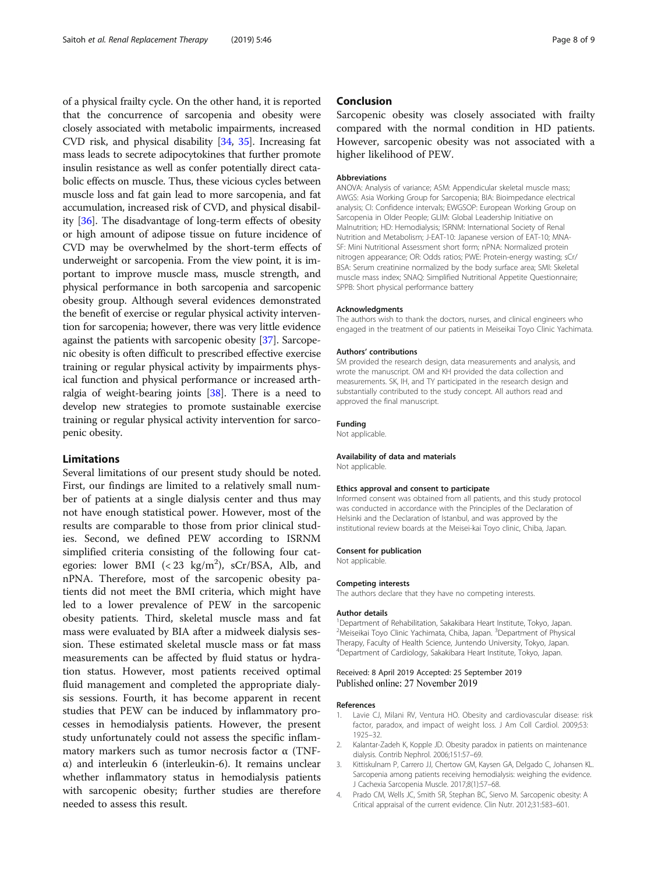<span id="page-7-0"></span>of a physical frailty cycle. On the other hand, it is reported that the concurrence of sarcopenia and obesity were closely associated with metabolic impairments, increased CVD risk, and physical disability [\[34,](#page-8-0) [35\]](#page-8-0). Increasing fat mass leads to secrete adipocytokines that further promote insulin resistance as well as confer potentially direct catabolic effects on muscle. Thus, these vicious cycles between muscle loss and fat gain lead to more sarcopenia, and fat accumulation, increased risk of CVD, and physical disability [\[36](#page-8-0)]. The disadvantage of long-term effects of obesity or high amount of adipose tissue on future incidence of CVD may be overwhelmed by the short-term effects of underweight or sarcopenia. From the view point, it is important to improve muscle mass, muscle strength, and physical performance in both sarcopenia and sarcopenic obesity group. Although several evidences demonstrated the benefit of exercise or regular physical activity intervention for sarcopenia; however, there was very little evidence against the patients with sarcopenic obesity [[37](#page-8-0)]. Sarcopenic obesity is often difficult to prescribed effective exercise training or regular physical activity by impairments physical function and physical performance or increased arthralgia of weight-bearing joints [\[38\]](#page-8-0). There is a need to develop new strategies to promote sustainable exercise training or regular physical activity intervention for sarcopenic obesity.

# Limitations

Several limitations of our present study should be noted. First, our findings are limited to a relatively small number of patients at a single dialysis center and thus may not have enough statistical power. However, most of the results are comparable to those from prior clinical studies. Second, we defined PEW according to ISRNM simplified criteria consisting of the following four categories: lower BMI (< 23 kg/m<sup>2</sup>), sCr/BSA, Alb, and nPNA. Therefore, most of the sarcopenic obesity patients did not meet the BMI criteria, which might have led to a lower prevalence of PEW in the sarcopenic obesity patients. Third, skeletal muscle mass and fat mass were evaluated by BIA after a midweek dialysis session. These estimated skeletal muscle mass or fat mass measurements can be affected by fluid status or hydration status. However, most patients received optimal fluid management and completed the appropriate dialysis sessions. Fourth, it has become apparent in recent studies that PEW can be induced by inflammatory processes in hemodialysis patients. However, the present study unfortunately could not assess the specific inflammatory markers such as tumor necrosis factor α (TNFα) and interleukin 6 (interleukin-6). It remains unclear whether inflammatory status in hemodialysis patients with sarcopenic obesity; further studies are therefore needed to assess this result.

# Conclusion

Sarcopenic obesity was closely associated with frailty compared with the normal condition in HD patients. However, sarcopenic obesity was not associated with a higher likelihood of PEW.

#### Abbreviations

ANOVA: Analysis of variance; ASM: Appendicular skeletal muscle mass; AWGS: Asia Working Group for Sarcopenia; BIA: Bioimpedance electrical analysis; CI: Confidence intervals; EWGSOP: European Working Group on Sarcopenia in Older People; GLIM: Global Leadership Initiative on Malnutrition; HD: Hemodialysis; ISRNM: International Society of Renal Nutrition and Metabolism; J-EAT-10: Japanese version of EAT-10; MNA-SF: Mini Nutritional Assessment short form; nPNA: Normalized protein nitrogen appearance; OR: Odds ratios; PWE: Protein-energy wasting; sCr/ BSA: Serum creatinine normalized by the body surface area; SMI: Skeletal muscle mass index; SNAQ: Simplified Nutritional Appetite Questionnaire; SPPB: Short physical performance battery

#### Acknowledgments

The authors wish to thank the doctors, nurses, and clinical engineers who engaged in the treatment of our patients in Meiseikai Toyo Clinic Yachimata.

#### Authors' contributions

SM provided the research design, data measurements and analysis, and wrote the manuscript. OM and KH provided the data collection and measurements. SK, IH, and TY participated in the research design and substantially contributed to the study concept. All authors read and approved the final manuscript.

#### Funding

Not applicable.

#### Availability of data and materials Not applicable.

#### Ethics approval and consent to participate

Informed consent was obtained from all patients, and this study protocol was conducted in accordance with the Principles of the Declaration of Helsinki and the Declaration of Istanbul, and was approved by the institutional review boards at the Meisei-kai Toyo clinic, Chiba, Japan.

#### Consent for publication

Not applicable.

#### Competing interests

The authors declare that they have no competing interests.

#### Author details

<sup>1</sup>Department of Rehabilitation, Sakakibara Heart Institute, Tokyo, Japan. <sup>2</sup>Meiseikai Toyo Clinic Yachimata, Chiba, Japan. <sup>3</sup>Department of Physical Therapy, Faculty of Health Science, Juntendo University, Tokyo, Japan. 4 Department of Cardiology, Sakakibara Heart Institute, Tokyo, Japan.

# Received: 8 April 2019 Accepted: 25 September 2019 Published online: 27 November 2019

#### References

- 1. Lavie CJ, Milani RV, Ventura HO. Obesity and cardiovascular disease: risk factor, paradox, and impact of weight loss. J Am Coll Cardiol. 2009;53: 1925–32.
- 2. Kalantar-Zadeh K, Kopple JD. Obesity paradox in patients on maintenance dialysis. Contrib Nephrol. 2006;151:57–69.
- 3. Kittiskulnam P, Carrero JJ, Chertow GM, Kaysen GA, Delgado C, Johansen KL. Sarcopenia among patients receiving hemodialysis: weighing the evidence. J Cachexia Sarcopenia Muscle. 2017;8(1):57–68.
- 4. Prado CM, Wells JC, Smith SR, Stephan BC, Siervo M. Sarcopenic obesity: A Critical appraisal of the current evidence. Clin Nutr. 2012;31:583–601.